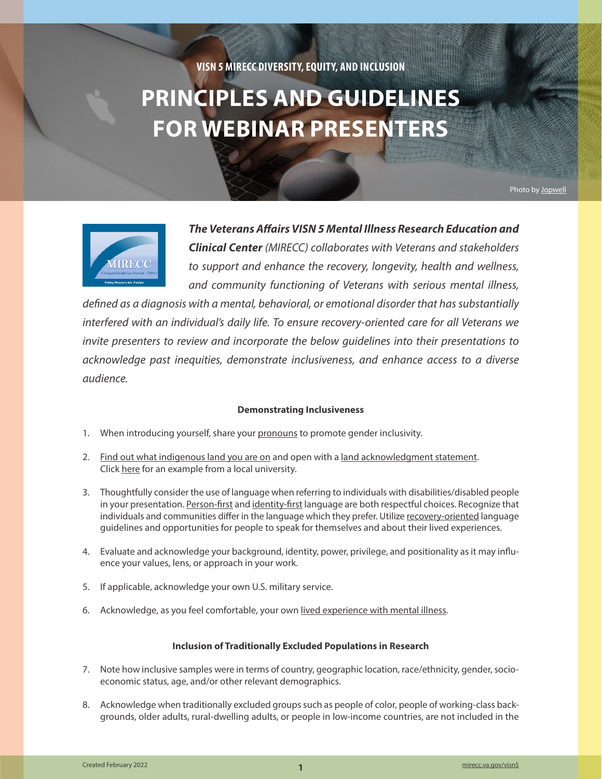# **VISN 5 MIRECC DIVERSITY, EQUITY, AND INCLUSION**

# **PRINCIPLES AND GUIDELINES FOR WEBINAR PRESENTERS**

Photo by [Jopwell](https://jopwell.pixieset.com/thejopwellcollection/?pid=975808893&id=90&h=MjgyOTQ4MjI3)



*The Veterans Affairs VISN 5 Mental Illness Research Education and Clinical Center (MIRECC) collaborates with Veterans and stakeholders to support and enhance the recovery, longevity, health and wellness, and community functioning of Veterans with serious mental illness,* 

*defined as a diagnosis with a mental, behavioral, or emotional disorder that has substantially interfered with an individual's daily life. To ensure recovery-oriented care for all Veterans we invite presenters to review and incorporate the below guidelines into their presentations to acknowledge past inequities, demonstrate inclusiveness, and enhance access to a diverse audience.*

## **Demonstrating Inclusiveness**

- 1. When introducing yourself, share your [pronouns](https://www.mypronouns.org/home) to promote gender inclusivity.
- 2. [Find out what indigenous land you are on](https://native-land.ca/) and open with a [land acknowledgment statement](https://nativegov.org/news/a-guide-to-indigenous-land-acknowledgment/). Click [here](https://www.umaryland.edu/writing/events/perspectives-in-health-law-and-human-services-indigenous-languages-and-cultures-in-our-practice/land-acknowledgement/) for an example from a local university.
- 3. Thoughtfully consider the use of language when referring to individuals with disabilities/disabled people in your presentation. [Person-first](https://smiadviser.org/knowledge_post_fp/what-is-person-first-language-and-why-is-it-important) and [identity-first](https://www.thesaurus.com/e/writing/person-first-vs-identity-first-language/) language are both respectful choices. Recognize that individuals and communities differ in the language which they prefer. Utilize [recovery-oriented](http://www.mhcc.org.au/wp-content/uploads/2019/08/Recovery-Oriented-Language-Guide_2019ed_v1_20190809-Web.pdf) language guidelines and opportunities for people to speak for themselves and about their lived experiences.
- 4. Evaluate and acknowledge your background, identity, power, privilege, and positionality as it may influence your values, lens, or approach in your work.
- 5. If applicable, acknowledge your own U.S. military service.
- 6. Acknowledge, as you feel comfortable, your own [lived experience with mental illness.](https://www.mirecc.va.gov/visn5/MHLE_COP/docs/MHLE_Consensus_Statement_Nov2020.pdf)

## **Inclusion of Traditionally Excluded Populations in Research**

- 7. Note how inclusive samples were in terms of country, geographic location, race/ethnicity, gender, socioeconomic status, age, and/or other relevant demographics.
- 8. Acknowledge when traditionally excluded groups such as people of color, people of working-class backgrounds, older adults, rural-dwelling adults, or people in low-income countries, are not included in the